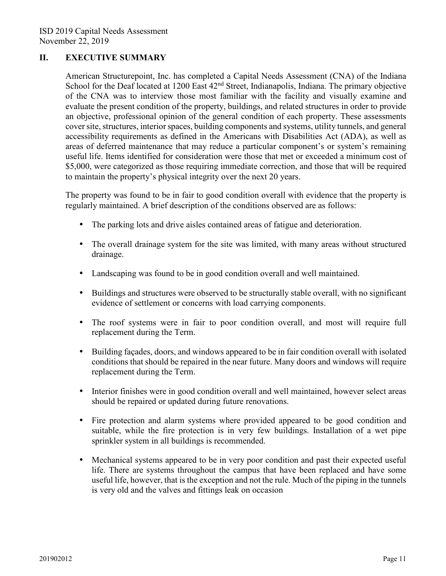## **II. EXECUTIVE SUMMARY**

American Structurepoint, Inc. has completed a Capital Needs Assessment (CNA) of the Indiana School for the Deaf located at 1200 East 42<sup>nd</sup> Street, Indianapolis, Indiana. The primary objective of the CNA was to interview those most familiar with the facility and visually examine and evaluate the present condition of the property, buildings, and related structures in order to provide an objective, professional opinion of the general condition of each property. These assessments cover site, structures, interior spaces, building components and systems, utility tunnels, and general accessibility requirements as defined in the Americans with Disabilities Act (ADA), as well as areas of deferred maintenance that may reduce a particular component's or system's remaining useful life. Items identified for consideration were those that met or exceeded a minimum cost of \$5,000, were categorized as those requiring immediate correction, and those that will be required to maintain the property's physical integrity over the next 20 years.

The property was found to be in fair to good condition overall with evidence that the property is regularly maintained. A brief description of the conditions observed are as follows:

- The parking lots and drive aisles contained areas of fatigue and deterioration.
- The overall drainage system for the site was limited, with many areas without structured drainage.
- Landscaping was found to be in good condition overall and well maintained.
- Buildings and structures were observed to be structurally stable overall, with no significant evidence of settlement or concerns with load carrying components.
- The roof systems were in fair to poor condition overall, and most will require full replacement during the Term.
- Building facades, doors, and windows appeared to be in fair condition overall with isolated conditions that should be repaired in the near future. Many doors and windows will require replacement during the Term.
- Interior finishes were in good condition overall and well maintained, however select areas should be repaired or updated during future renovations.
- Fire protection and alarm systems where provided appeared to be good condition and suitable, while the fire protection is in very few buildings. Installation of a wet pipe sprinkler system in all buildings is recommended.
- Mechanical systems appeared to be in very poor condition and past their expected useful life. There are systems throughout the campus that have been replaced and have some useful life, however, that is the exception and not the rule. Much of the piping in the tunnels is very old and the valves and fittings leak on occasion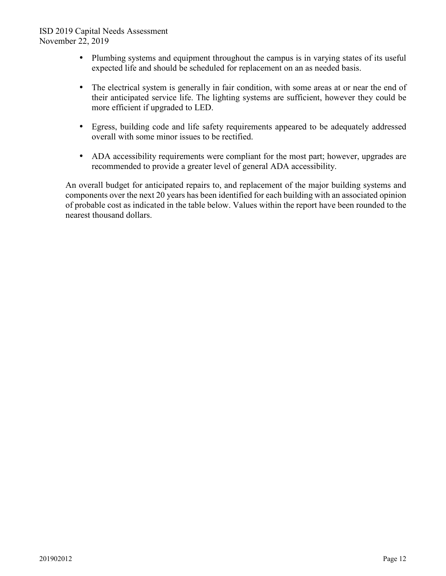## ISD 2019 Capital Needs Assessment November 22, 2019

- Plumbing systems and equipment throughout the campus is in varying states of its useful expected life and should be scheduled for replacement on an as needed basis.
- The electrical system is generally in fair condition, with some areas at or near the end of their anticipated service life. The lighting systems are sufficient, however they could be more efficient if upgraded to LED.
- Egress, building code and life safety requirements appeared to be adequately addressed overall with some minor issues to be rectified.
- ADA accessibility requirements were compliant for the most part; however, upgrades are recommended to provide a greater level of general ADA accessibility.

An overall budget for anticipated repairs to, and replacement of the major building systems and components over the next 20 years has been identified for each building with an associated opinion of probable cost as indicated in the table below. Values within the report have been rounded to the nearest thousand dollars.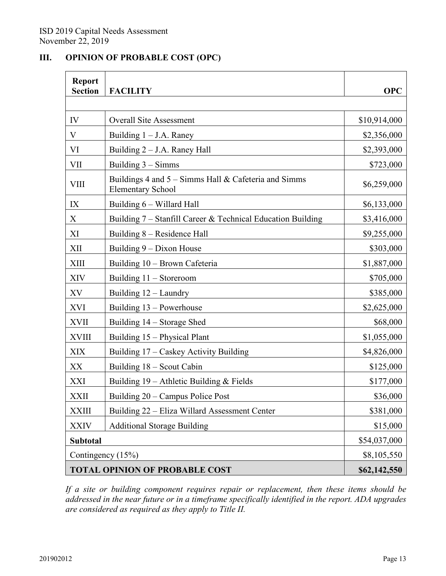## **III. OPINION OF PROBABLE COST (OPC)**

| <b>Report</b><br><b>Section</b>       | <b>FACILITY</b>                                                                  | <b>OPC</b>   |
|---------------------------------------|----------------------------------------------------------------------------------|--------------|
| IV                                    | <b>Overall Site Assessment</b>                                                   | \$10,914,000 |
| V                                     | Building $1 - J.A.$ Raney                                                        | \$2,356,000  |
| VI                                    | Building 2 - J.A. Raney Hall                                                     | \$2,393,000  |
| <b>VII</b>                            | Building 3 - Simms                                                               | \$723,000    |
| <b>VIII</b>                           | Buildings 4 and 5 – Simms Hall & Cafeteria and Simms<br><b>Elementary School</b> | \$6,259,000  |
| IX                                    | Building 6 - Willard Hall                                                        | \$6,133,000  |
| X                                     | Building 7 – Stanfill Career & Technical Education Building                      | \$3,416,000  |
| XI                                    | Building 8 - Residence Hall                                                      | \$9,255,000  |
| XII                                   | Building 9 – Dixon House                                                         | \$303,000    |
| <b>XIII</b>                           | Building 10 - Brown Cafeteria                                                    | \$1,887,000  |
| XIV                                   | Building 11 - Storeroom                                                          | \$705,000    |
| XV                                    | Building 12 - Laundry                                                            | \$385,000    |
| <b>XVI</b>                            | Building 13 – Powerhouse                                                         | \$2,625,000  |
| <b>XVII</b>                           | Building 14 – Storage Shed                                                       | \$68,000     |
| <b>XVIII</b>                          | Building 15 - Physical Plant                                                     | \$1,055,000  |
| <b>XIX</b>                            | Building 17 - Caskey Activity Building                                           | \$4,826,000  |
| XX                                    | Building 18 – Scout Cabin                                                        | \$125,000    |
| XXI                                   | Building 19 - Athletic Building & Fields                                         | \$177,000    |
| <b>XXII</b>                           | Building 20 – Campus Police Post                                                 | \$36,000     |
| <b>XXIII</b>                          | Building 22 – Eliza Willard Assessment Center                                    | \$381,000    |
| <b>XXIV</b>                           | <b>Additional Storage Building</b>                                               | \$15,000     |
| <b>Subtotal</b>                       |                                                                                  | \$54,037,000 |
| Contingency (15%)                     |                                                                                  | \$8,105,550  |
| <b>TOTAL OPINION OF PROBABLE COST</b> |                                                                                  | \$62,142,550 |

*If a site or building component requires repair or replacement, then these items should be addressed in the near future or in a timeframe specifically identified in the report. ADA upgrades are considered as required as they apply to Title II.*